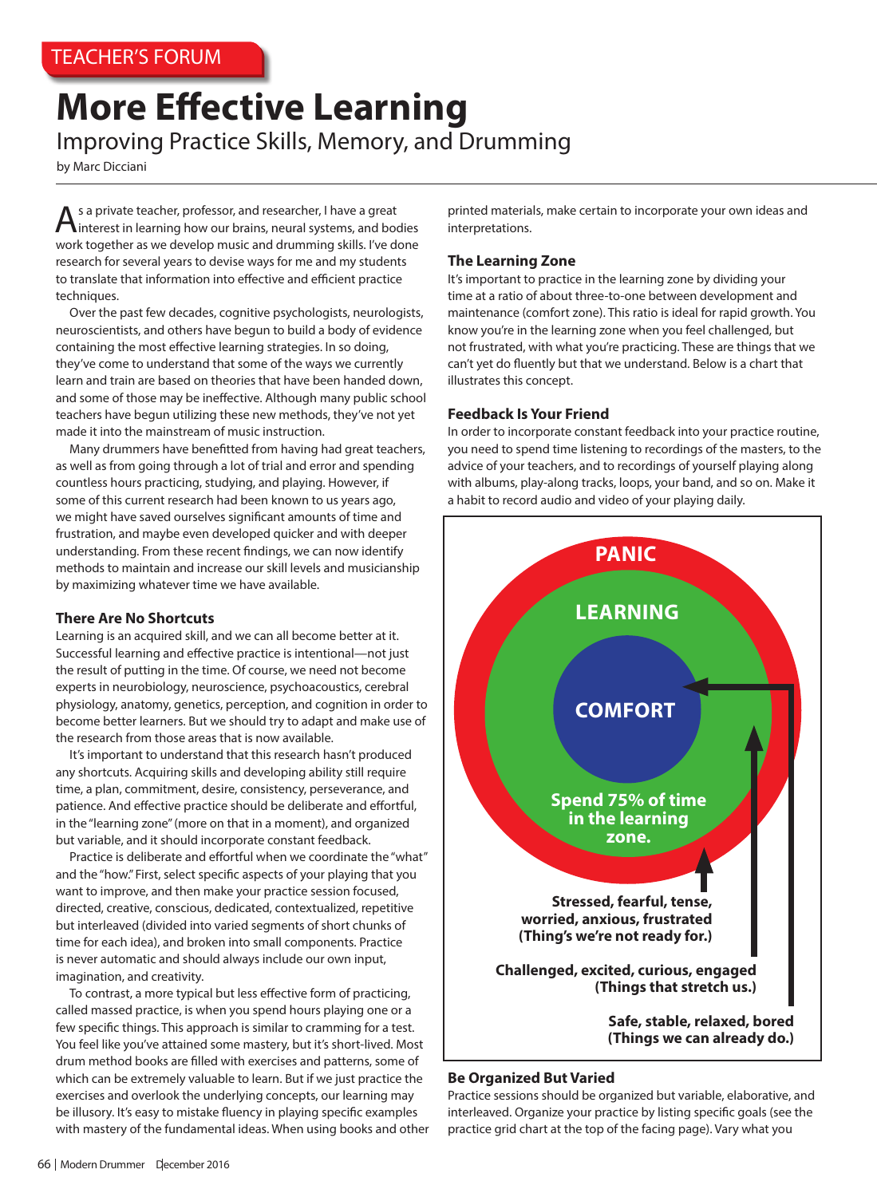# **More Effective Learning** Improving Practice Skills, Memory, and Drumming

by Marc Dicciani

 $A$ s a private teacher, professor, and researcher, I have a great interest in learning how our brains, neural systems, and bodies work together as we develop music and drumming skills. I've done research for several years to devise ways for me and my students to translate that information into effective and efficient practice techniques.

Over the past few decades, cognitive psychologists, neurologists, neuroscientists, and others have begun to build a body of evidence containing the most effective learning strategies. In so doing, they've come to understand that some of the ways we currently learn and train are based on theories that have been handed down, and some of those may be ineffective. Although many public school teachers have begun utilizing these new methods, they've not yet made it into the mainstream of music instruction.

Many drummers have benefitted from having had great teachers, as well as from going through a lot of trial and error and spending countless hours practicing, studying, and playing. However, if some of this current research had been known to us years ago, we might have saved ourselves significant amounts of time and frustration, and maybe even developed quicker and with deeper understanding. From these recent findings, we can now identify methods to maintain and increase our skill levels and musicianship by maximizing whatever time we have available.

## **There Are No Shortcuts**

Learning is an acquired skill, and we can all become better at it. Successful learning and effective practice is intentional—not just the result of putting in the time. Of course, we need not become experts in neurobiology, neuroscience, psychoacoustics, cerebral physiology, anatomy, genetics, perception, and cognition in order to become better learners. But we should try to adapt and make use of the research from those areas that is now available.

It's important to understand that this research hasn't produced any shortcuts. Acquiring skills and developing ability still require time, a plan, commitment, desire, consistency, perseverance, and patience. And effective practice should be deliberate and effortful, in the "learning zone" (more on that in a moment), and organized but variable, and it should incorporate constant feedback.

Practice is deliberate and effortful when we coordinate the "what" and the "how." First, select specific aspects of your playing that you want to improve, and then make your practice session focused, directed, creative, conscious, dedicated, contextualized, repetitive but interleaved (divided into varied segments of short chunks of time for each idea), and broken into small components. Practice is never automatic and should always include our own input, imagination, and creativity.

To contrast, a more typical but less effective form of practicing, called massed practice, is when you spend hours playing one or a few specific things. This approach is similar to cramming for a test. You feel like you've attained some mastery, but it's short-lived. Most drum method books are filled with exercises and patterns, some of which can be extremely valuable to learn. But if we just practice the exercises and overlook the underlying concepts, our learning may be illusory. It's easy to mistake fluency in playing specific examples with mastery of the fundamental ideas. When using books and other printed materials, make certain to incorporate your own ideas and interpretations.

## **The Learning Zone**

It's important to practice in the learning zone by dividing your time at a ratio of about three-to-one between development and maintenance (comfort zone). This ratio is ideal for rapid growth. You know you're in the learning zone when you feel challenged, but not frustrated, with what you're practicing. These are things that we can't yet do fluently but that we understand. Below is a chart that illustrates this concept.

## **Feedback Is Your Friend**

In order to incorporate constant feedback into your practice routine, you need to spend time listening to recordings of the masters, to the advice of your teachers, and to recordings of yourself playing along with albums, play-along tracks, loops, your band, and so on. Make it a habit to record audio and video of your playing daily.



## **Be Organized But Varied**

Practice sessions should be organized but variable, elaborative, and interleaved. Organize your practice by listing specific goals (see the practice grid chart at the top of the facing page). Vary what you